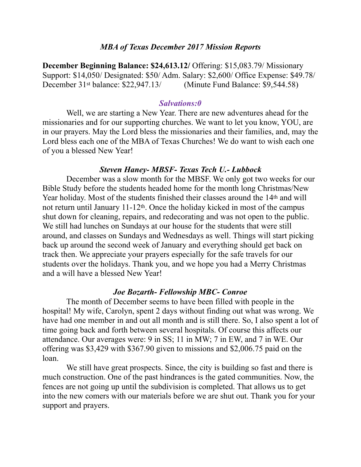#### *MBA of Texas December 2017 Mission Reports*

**December Beginning Balance: \$24,613.12/** Offering: \$15,083.79/ Missionary Support: \$14,050/ Designated: \$50/ Adm. Salary: \$2,600/ Office Expense: \$49.78/ December 31st balance: \$22,947.13/ (Minute Fund Balance: \$9,544.58)

#### *Salvations:0*

 Well, we are starting a New Year. There are new adventures ahead for the missionaries and for our supporting churches. We want to let you know, YOU, are in our prayers. May the Lord bless the missionaries and their families, and, may the Lord bless each one of the MBA of Texas Churches! We do want to wish each one of you a blessed New Year!

### *Steven Haney- MBSF- Texas Tech U.- Lubbock*

 December was a slow month for the MBSF. We only got two weeks for our Bible Study before the students headed home for the month long Christmas/New Year holiday. Most of the students finished their classes around the 14<sup>th</sup> and will not return until January 11-12th. Once the holiday kicked in most of the campus shut down for cleaning, repairs, and redecorating and was not open to the public. We still had lunches on Sundays at our house for the students that were still around, and classes on Sundays and Wednesdays as well. Things will start picking back up around the second week of January and everything should get back on track then. We appreciate your prayers especially for the safe travels for our students over the holidays. Thank you, and we hope you had a Merry Christmas and a will have a blessed New Year!

#### *Joe Bozarth- Fellowship MBC- Conroe*

 The month of December seems to have been filled with people in the hospital! My wife, Carolyn, spent 2 days without finding out what was wrong. We have had one member in and out all month and is still there. So, I also spent a lot of time going back and forth between several hospitals. Of course this affects our attendance. Our averages were: 9 in SS; 11 in MW; 7 in EW, and 7 in WE. Our offering was \$3,429 with \$367.90 given to missions and \$2,006.75 paid on the loan.

 We still have great prospects. Since, the city is building so fast and there is much construction. One of the past hindrances is the gated communities. Now, the fences are not going up until the subdivision is completed. That allows us to get into the new comers with our materials before we are shut out. Thank you for your support and prayers.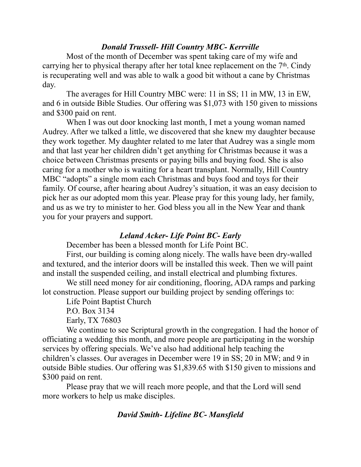### *Donald Trussell- Hill Country MBC- Kerrville*

 Most of the month of December was spent taking care of my wife and carrying her to physical therapy after her total knee replacement on the 7th. Cindy is recuperating well and was able to walk a good bit without a cane by Christmas day.

 The averages for Hill Country MBC were: 11 in SS; 11 in MW, 13 in EW, and 6 in outside Bible Studies. Our offering was \$1,073 with 150 given to missions and \$300 paid on rent.

 When I was out door knocking last month, I met a young woman named Audrey. After we talked a little, we discovered that she knew my daughter because they work together. My daughter related to me later that Audrey was a single mom and that last year her children didn't get anything for Christmas because it was a choice between Christmas presents or paying bills and buying food. She is also caring for a mother who is waiting for a heart transplant. Normally, Hill Country MBC "adopts" a single mom each Christmas and buys food and toys for their family. Of course, after hearing about Audrey's situation, it was an easy decision to pick her as our adopted mom this year. Please pray for this young lady, her family, and us as we try to minister to her. God bless you all in the New Year and thank you for your prayers and support.

### *Leland Acker- Life Point BC- Early*

December has been a blessed month for Life Point BC.

 First, our building is coming along nicely. The walls have been dry-walled and textured, and the interior doors will be installed this week. Then we will paint and install the suspended ceiling, and install electrical and plumbing fixtures.

 We still need money for air conditioning, flooring, ADA ramps and parking lot construction. Please support our building project by sending offerings to:

Life Point Baptist Church

P.O. Box 3134

Early, TX 76803

 We continue to see Scriptural growth in the congregation. I had the honor of officiating a wedding this month, and more people are participating in the worship services by offering specials. We've also had additional help teaching the children's classes. Our averages in December were 19 in SS; 20 in MW; and 9 in outside Bible studies. Our offering was \$1,839.65 with \$150 given to missions and \$300 paid on rent.

 Please pray that we will reach more people, and that the Lord will send more workers to help us make disciples.

## *David Smith- Lifeline BC- Mansfield*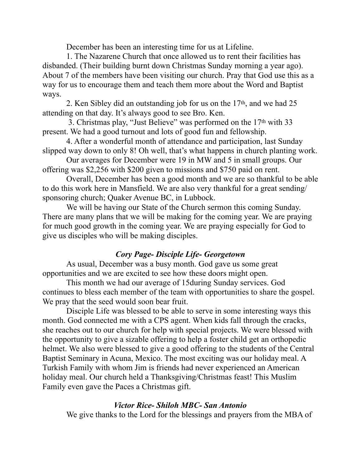December has been an interesting time for us at Lifeline.

 1. The Nazarene Church that once allowed us to rent their facilities has disbanded. (Their building burnt down Christmas Sunday morning a year ago). About 7 of the members have been visiting our church. Pray that God use this as a way for us to encourage them and teach them more about the Word and Baptist ways.

 2. Ken Sibley did an outstanding job for us on the 17th, and we had 25 attending on that day. It's always good to see Bro. Ken.

 3. Christmas play, "Just Believe" was performed on the 17th with 33 present. We had a good turnout and lots of good fun and fellowship.

 4. After a wonderful month of attendance and participation, last Sunday slipped way down to only 8! Oh well, that's what happens in church planting work.

 Our averages for December were 19 in MW and 5 in small groups. Our offering was \$2,256 with \$200 given to missions and \$750 paid on rent.

 Overall, December has been a good month and we are so thankful to be able to do this work here in Mansfield. We are also very thankful for a great sending/ sponsoring church; Quaker Avenue BC, in Lubbock.

 We will be having our State of the Church sermon this coming Sunday. There are many plans that we will be making for the coming year. We are praying for much good growth in the coming year. We are praying especially for God to give us disciples who will be making disciples.

# *Cory Page- Disciple Life- Georgetown*

 As usual, December was a busy month. God gave us some great opportunities and we are excited to see how these doors might open.

 This month we had our average of 15during Sunday services. God continues to bless each member of the team with opportunities to share the gospel. We pray that the seed would soon bear fruit.

 Disciple Life was blessed to be able to serve in some interesting ways this month. God connected me with a CPS agent. When kids fall through the cracks, she reaches out to our church for help with special projects. We were blessed with the opportunity to give a sizable offering to help a foster child get an orthopedic helmet. We also were blessed to give a good offering to the students of the Central Baptist Seminary in Acuna, Mexico. The most exciting was our holiday meal. A Turkish Family with whom Jim is friends had never experienced an American holiday meal. Our church held a Thanksgiving/Christmas feast! This Muslim Family even gave the Paces a Christmas gift.

### *Victor Rice- Shiloh MBC- San Antonio*

We give thanks to the Lord for the blessings and prayers from the MBA of